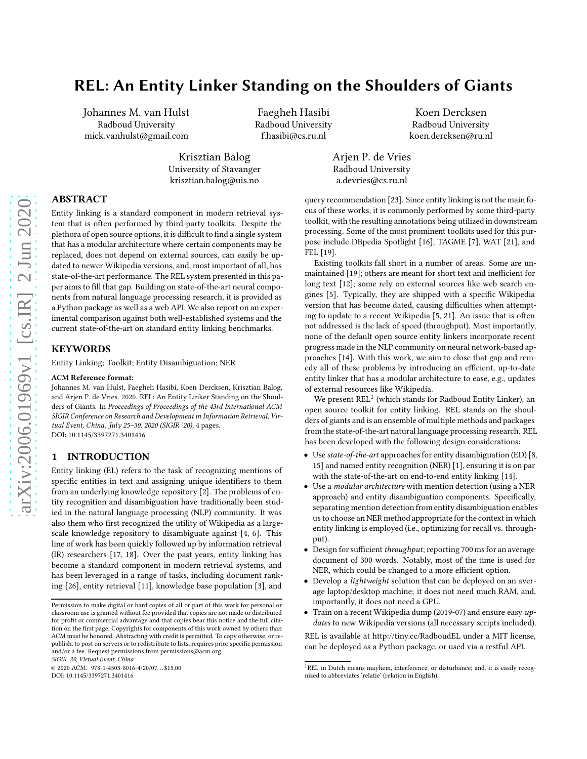# REL: An Entity Linker Standing on the Shoulders of Giants

Johannes M. van Hulst Radboud University mick.vanhulst@gmail.com

Faegheh Hasibi Radboud University f.hasibi@cs.ru.nl

Koen Dercksen Radboud University koen.dercksen@ru.nl

Arjen P. de Vries Radboud University a.devries@cs.ru.nl

# ABSTRACT

Entity linking is a standard component in modern retrieval system that is often performed by third-party toolkits. Despite the plethora of open source options, it is difficult to find a single system that has a modular architecture where certain components may be replaced, does not depend on external sources, can easily be updated to newer Wikipedia versions, and, most important of all, has state-of-the-art performance. The REL system presented in this paper aims to fill that gap. Building on state-of-the-art neural components from natural language processing research, it is provided as a Python package as well as a web API. We also report on an experimental comparison against both well-established systems and the current state-of-the-art on standard entity linking benchmarks.

Krisztian Balog University of Stavanger krisztian.balog@uis.no

#### **KEYWORDS**

Entity Linking; Toolkit; Entity Disambiguation; NER

#### ACM Reference format:

Johannes M. van Hulst, Faegheh Hasibi, Koen Dercksen, Krisztian Balog, and Arjen P. de Vries. 2020. REL: An Entity Linker Standing on the Shoulders of Giants. In Proceedings of Proceedings of the 43rd International ACM SIGIR Conference on Research and Development in Information Retrieval, Virtual Event, China, July 25–30, 2020 (SIGIR '20), [4](#page-3-0) pages. DOI: 10.1145/3397271.3401416

### 1 INTRODUCTION

Entity linking (EL) refers to the task of recognizing mentions of specific entities in text and assigning unique identifiers to them from an underlying knowledge repository [\[2](#page-3-1)]. The problems of entity recognition and disambiguation have traditionally been studied in the natural language processing (NLP) community. It was also them who first recognized the utility of Wikipedia as a largescale knowledge repository to disambiguate against [\[4](#page-3-2), [6](#page-3-3)]. This line of work has been quickly followed up by information retrieval (IR) researchers [\[17,](#page-3-4) [18](#page-3-5)]. Over the past years, entity linking has become a standard component in modern retrieval systems, and has been leveraged in a range of tasks, including document ranking [\[26\]](#page-3-6), entity retrieval [\[11\]](#page-3-7), knowledge base population [\[3\]](#page-3-8), and

SIGIR '20, Virtual Event, China

 $@ 2020$  ACM. 978-1-4503-8016-4/20/07...\$15.00

query recommendation [\[23\]](#page-3-9). Since entity linking is not the main focus of these works, it is commonly performed by some third-party toolkit, with the resulting annotations being utilized in downstream processing. Some of the most prominent toolkits used for this purpose include DBpedia Spotlight [\[16\]](#page-3-10), TAGME [\[7](#page-3-11)], WAT [\[21\]](#page-3-12), and FEL [\[19\]](#page-3-13).

Existing toolkits fall short in a number of areas. Some are unmaintained [\[19\]](#page-3-13); others are meant for short text and inefficient for long text [\[12](#page-3-14)]; some rely on external sources like web search engines [\[5\]](#page-3-15). Typically, they are shipped with a specific Wikipedia version that has become dated, causing difficulties when attempting to update to a recent Wikipedia [\[5,](#page-3-15) [21](#page-3-12)]. An issue that is often not addressed is the lack of speed (throughput). Most importantly, none of the default open source entity linkers incorporate recent progress made in the NLP community on neural network-based approaches [\[14\]](#page-3-16). With this work, we aim to close that gap and remedy all of these problems by introducing an efficient, up-to-date entity linker that has a modular architecture to ease, e.g., updates of external resources like Wikipedia.

We present  $REL<sup>1</sup>$  $REL<sup>1</sup>$  $REL<sup>1</sup>$  (which stands for Radboud Entity Linker), an open source toolkit for entity linking. REL stands on the shoulders of giants and is an ensemble of multiple methods and packages from the state-of-the-art natural language processing research. REL has been developed with the following design considerations:

- Use state-of-the-art approaches for entity disambiguation (ED) [\[8,](#page-3-17) [15\]](#page-3-18) and named entity recognition (NER) [\[1\]](#page-3-19), ensuring it is on par with the state-of-the-art on end-to-end entity linking [\[14\]](#page-3-16).
- Use a modular architecture with mention detection (using a NER approach) and entity disambiguation components. Specifically, separating mention detection from entity disambiguation enables us to choose an NER method appropriate for the context in which entity linking is employed (i.e., optimizing for recall vs. throughput).
- Design for sufficient throughput; reporting 700 ms for an average document of 300 words. Notably, most of the time is used for NER, which could be changed to a more efficient option.
- Develop a lightweight solution that can be deployed on an average laptop/desktop machine; it does not need much RAM, and, importantly, it does not need a GPU.
- Train on a recent Wikipedia dump (2019-07) and ensure easy updates to new Wikipedia versions (all necessary scripts included).

REL is available at<http://tiny.cc/RadboudEL> under a MIT license, can be deployed as a Python package, or used via a restful API.

Permission to make digital or hard copies of all or part of this work for personal or classroom use is granted without fee provided that copies are not made or distributed for profit or commercial advantage and that copies bear this notice and the full citation on the first page. Copyrights for components of this work owned by others than ACM must be honored. Abstracting with credit is permitted. To copy otherwise, or republish, to post on servers or to redistribute to lists, requires prior specific permission and/or a fee. Request permissions from permissions@acm.org.

DOI: 10.1145/3397271.3401416

<span id="page-0-0"></span><sup>&</sup>lt;sup>1</sup>REL in Dutch means mayhem, interference, or disturbance; and, it is easily recognized to abbreviates 'relatie' (relation in English).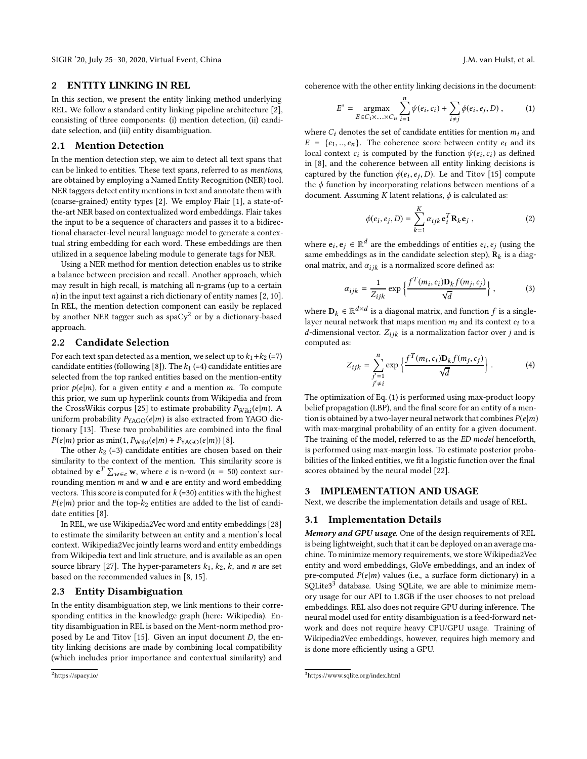SIGIR '20, July 25-30, 2020, Virtual Event, China J.M. van Hulst, et al. J.M. van Hulst, et al.

## 2 ENTITY LINKING IN REL

In this section, we present the entity linking method underlying REL. We follow a standard entity linking pipeline architecture [\[2\]](#page-3-1), consisting of three components: (i) mention detection, (ii) candidate selection, and (iii) entity disambiguation.

#### 2.1 Mention Detection

In the mention detection step, we aim to detect all text spans that can be linked to entities. These text spans, referred to as mentions, are obtained by employing a Named Entity Recognition (NER) tool. NER taggers detect entity mentions in text and annotate them with (coarse-grained) entity types [\[2\]](#page-3-1). We employ Flair [\[1](#page-3-19)], a state-ofthe-art NER based on contextualized word embeddings. Flair takes the input to be a sequence of characters and passes it to a bidirectional character-level neural language model to generate a contextual string embedding for each word. These embeddings are then utilized in a sequence labeling module to generate tags for NER.

Using a NER method for mention detection enables us to strike a balance between precision and recall. Another approach, which may result in high recall, is matching all n-grams (up to a certain  $n$ ) in the input text against a rich dictionary of entity names [\[2](#page-3-1), [10](#page-3-20)]. In REL, the mention detection component can easily be replaced by another NER tagger such as  $spaCy^2$  $spaCy^2$  or by a dictionary-based approach.

# 2.2 Candidate Selection

For each text span detected as a mention, we select up to  $k_1+k_2 (=7)$ candidate entities (following [\[8\]](#page-3-17)). The  $k_1$  (=4) candidate entities are selected from the top ranked entities based on the mention-entity prior  $p(e|m)$ , for a given entity e and a mention m. To compute this prior, we sum up hyperlink counts from Wikipedia and from the CrossWikis corpus [\[25\]](#page-3-21) to estimate probability  $P_{\text{Wiki}}(e|m)$ . A uniform probability  $P_{YAGO}(e|m)$  is also extracted from YAGO dictionary [\[13\]](#page-3-22). These two probabilities are combined into the final  $P(e|m)$  prior as min(1,  $P_{\text{Wiki}}(e|m) + P_{\text{YAGO}}(e|m))$  [\[8\]](#page-3-17).

The other  $k_2$  (=3) candidate entities are chosen based on their similarity to the context of the mention. This similarity score is obtained by  $e^T \sum_{w \in c} w$ , where c is n-word (n = 50) context surrounding mention  $m$  and  $w$  and  $e$  are entity and word embedding vectors. This score is computed for  $k$  (=30) entities with the highest  $P(e|m)$  prior and the top- $k_2$  entities are added to the list of candidate entities [\[8\]](#page-3-17).

In REL, we use Wikipedia2Vec word and entity embeddings [\[28\]](#page-3-23) to estimate the similarity between an entity and a mention's local context. Wikipedia2Vec jointly learns word and entity embeddings from Wikipedia text and link structure, and is available as an open source library [\[27\]](#page-3-24). The hyper-parameters  $k_1$ ,  $k_2$ ,  $k$ , and *n* are set based on the recommended values in [\[8,](#page-3-17) [15](#page-3-18)].

#### 2.3 Entity Disambiguation

In the entity disambiguation step, we link mentions to their corresponding entities in the knowledge graph (here: Wikipedia). Entity disambiguation in REL is based on the Ment-norm method proposed by Le and Titov [\[15](#page-3-18)]. Given an input document D, the entity linking decisions are made by combining local compatibility (which includes prior importance and contextual similarity) and

coherence with the other entity linking decisions in the document:

<span id="page-1-1"></span>
$$
E^* = \underset{E \in C_1 \times ... \times C_n}{\text{argmax}} \sum_{i=1}^n \psi(e_i, c_i) + \sum_{i \neq j} \phi(e_i, e_j, D), \quad (1)
$$

where  $C_i$  denotes the set of candidate entities for mention  $m_i$  and  $E = \{e_1, ..., e_n\}$ . The coherence score between entity  $e_i$  and its local context  $c_i$  is computed by the function  $\psi(e_i, c_i)$  as defined in [\[8\]](#page-3-17), and the coherence between all entity linking decisions is captured by the function  $\phi(e_i, e_j, D)$ . Le and Titov [\[15](#page-3-18)] compute the  $\phi$  function by incorporating relations between mentions of a document. Assuming K latent relations,  $\phi$  is calculated as:

$$
\phi(e_i, e_j, D) = \sum_{k=1}^{K} \alpha_{ijk} \mathbf{e}_i^T \mathbf{R}_k \mathbf{e}_j ,
$$
 (2)

where  $e_i, e_j \in \mathbb{R}^d$  are the embeddings of entities  $e_i, e_j$  (using the same embeddings as in the candidate selection step),  $\mathbf{\dot{R}}_k$  is a diagonal matrix, and  $\alpha_{ijk}$  is a normalized score defined as:

$$
\alpha_{ijk} = \frac{1}{Z_{ijk}} \exp\left\{ \frac{f^T(m_i, c_i) \mathbf{D}_k f(m_j, c_j)}{\sqrt{d}} \right\},\tag{3}
$$

where  $\mathbf{D}_k \in \mathbb{R}^{d \times d}$  is a diagonal matrix, and function f is a singlelayer neural network that maps mention  $m_i$  and its context  $c_i$  to a d-dimensional vector.  $Z_{ijk}$  is a normalization factor over j and is computed as:

$$
Z_{ijk} = \sum_{\substack{j'=1 \ j'\neq i}}^n \exp\left\{\frac{f^T(m_i, c_i)\mathbf{D}_k f(m_j, c_j)}{\sqrt{d}}\right\}.
$$
 (4)

The optimization of Eq. [\(1\)](#page-1-1) is performed using max-product loopy belief propagation (LBP), and the final score for an entity of a mention is obtained by a two-layer neural network that combines  $P(e|m)$ with max-marginal probability of an entity for a given document. The training of the model, referred to as the ED model henceforth, is performed using max-margin loss. To estimate posterior probabilities of the linked entities, we fit a logistic function over the final scores obtained by the neural model [\[22](#page-3-25)].

#### <span id="page-1-3"></span>3 IMPLEMENTATION AND USAGE

Next, we describe the implementation details and usage of REL.

#### 3.1 Implementation Details

Memory and GPU usage. One of the design requirements of REL is being lightweight, such that it can be deployed on an average machine. To minimize memory requirements, we store Wikipedia2Vec entity and word embeddings, GloVe embeddings, and an index of pre-computed  $P(e|m)$  values (i.e., a surface form dictionary) in a SQLite[3](#page-1-2)<sup>3</sup> database. Using SQLite, we are able to minimize memory usage for our API to 1.8GB if the user chooses to not preload embeddings. REL also does not require GPU during inference. The neural model used for entity disambiguation is a feed-forward network and does not require heavy CPU/GPU usage. Training of Wikipedia2Vec embeddings, however, requires high memory and is done more efficiently using a GPU.

<span id="page-1-0"></span><sup>2</sup><https://spacy.io/>

<span id="page-1-2"></span><sup>3</sup><https://www.sqlite.org/index.html>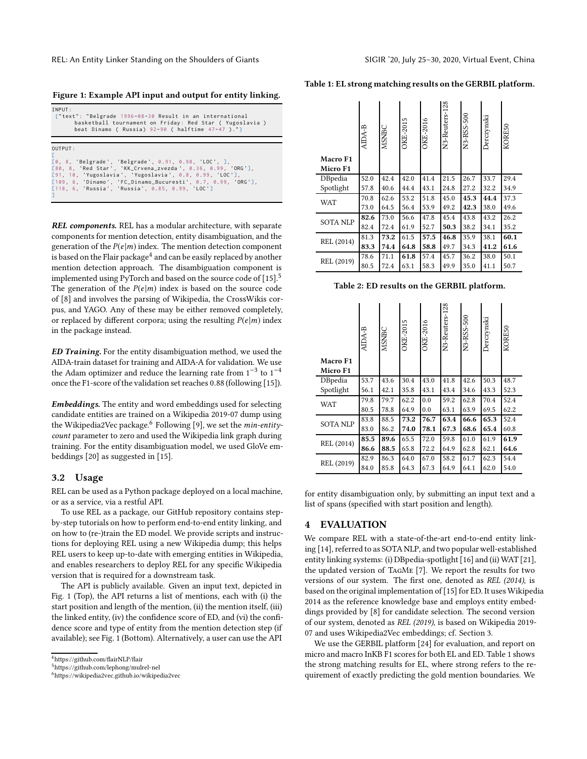<span id="page-2-3"></span>Figure 1: Example API input and output for entity linking.

| INPUT:<br>{"text": "Belgrade 1996-08-30 Result in an international<br>basketball tournament on Friday: Red Star (Yugoslavia)<br>beat Dinamo ( Russia) $92-90$ ( halftime $47-47$ )."}                                                                                                                        |
|--------------------------------------------------------------------------------------------------------------------------------------------------------------------------------------------------------------------------------------------------------------------------------------------------------------|
| OUTPUT:<br>[0, 8, 'Belgrade', 'Belgrade', 0.91, 0.98, 'LOC', ],<br>[80, 8, 'Red Star', 'KK_Crvena_zvezda', 0.36, 0.99, 'ORG'],<br>[91, 10, 'Yugoslavia', 'Yugoslavia', 0.8, 0.99, 'LOC'],<br>[109, 6, 'Dinamo', 'FC_Dinamo_Bucuresti', 0.7, 0.99, 'ORG'],<br>[118, 6, 'Russia', 'Russia', 0.85, 0.99, 'LOC'] |

REL components. REL has a modular architecture, with separate components for mention detection, entity disambiguation, and the generation of the  $P(e|m)$  index. The mention detection component is based on the Flair package $^4$  $^4$  and can be easily replaced by another mention detection approach. The disambiguation component is implemented using PyTorch and based on the source code of  $[15]$  $[15]$  $[15]$ <sup>5</sup> The generation of the  $P(e|m)$  index is based on the source code of [\[8](#page-3-17)] and involves the parsing of Wikipedia, the CrossWikis corpus, and YAGO. Any of these may be either removed completely, or replaced by different corpora; using the resulting  $P(e|m)$  index in the package instead.

ED Training. For the entity disambiguation method, we used the AIDA-train dataset for training and AIDA-A for validation. We use the Adam optimizer and reduce the learning rate from  $1^{-3}$  to  $1^{-4}$ once the F1-score of the validation set reaches 0.88 (following [\[15](#page-3-18)]).

Embeddings. The entity and word embeddings used for selecting candidate entities are trained on a Wikipedia 2019-07 dump using the Wikipedia2Vec package.<sup>[6](#page-2-2)</sup> Following [\[9](#page-3-26)], we set the *min-entity*count parameter to zero and used the Wikipedia link graph during training. For the entity disambiguation model, we used GloVe embeddings [\[20\]](#page-3-27) as suggested in [\[15](#page-3-18)].

#### 3.2 Usage

REL can be used as a Python package deployed on a local machine, or as a service, via a restful API.

To use REL as a package, our GitHub repository contains stepby-step tutorials on how to perform end-to-end entity linking, and on how to (re-)train the ED model. We provide scripts and instructions for deploying REL using a new Wikipedia dump; this helps REL users to keep up-to-date with emerging entities in Wikipedia, and enables researchers to deploy REL for any specific Wikipedia version that is required for a downstream task.

The API is publicly available. Given an input text, depicted in Fig. [1](#page-2-3) (Top), the API returns a list of mentions, each with (i) the start position and length of the mention, (ii) the mention itself, (iii) the linked entity, (iv) the confidence score of ED, and (vi) the confidence score and type of entity from the mention detection step (if available); see Fig. [1](#page-2-3) (Bottom). Alternatively, a user can use the API

<span id="page-2-4"></span>

| Table 1: EL strong matching results on the GERBIL platform. |  |
|-------------------------------------------------------------|--|
|-------------------------------------------------------------|--|

| Macro F1<br>Micro F1 | AIDA-B | MSNBC | OKE-2015 | OKE-2016 | N <sub>3</sub> -Reuters-128 | N3-RSS-500 | Derczynski | KORE50 |
|----------------------|--------|-------|----------|----------|-----------------------------|------------|------------|--------|
| DBpedia              | 52.0   | 42.4  | 42.0     | 41.4     | 21.5                        | 26.7       | 33.7       | 29.4   |
| Spotlight            | 57.8   | 40.6  | 44.4     | 43.1     | 24.8                        | 27.2       | 32.2       | 34.9   |
| <b>WAT</b>           | 70.8   | 62.6  | 53.2     | 51.8     | 45.0                        | 45.3       | 44.4       | 37.3   |
|                      | 73.0   | 64.5  | 56.4     | 53.9     | 49.2                        | 42.3       | 38.0       | 49.6   |
| <b>SOTA NLP</b>      | 82.6   | 73.0  | 56.6     | 47.8     | 45.4                        | 43.8       | 43.2       | 26.2   |
|                      | 82.4   | 72.4  | 61.9     | 52.7     | 50.3                        | 38.2       | 34.1       | 35.2   |
| REL (2014)           | 81.3   | 73.2  | 61.5     | 57.5     | 46.8                        | 35.9       | 38.1       | 60.1   |
|                      | 83.3   | 74.4  | 64.8     | 58.8     | 49.7                        | 34.3       | 41.2       | 61.6   |
|                      | 78.6   | 71.1  | 61.8     | 57.4     | 45.7                        | 36.2       | 38.0       | 50.1   |
| REL (2019)           | 80.5   | 72.4  | 63.1     | 58.3     | 49.9                        | 35.0       | 41.1       | 50.7   |

<span id="page-2-5"></span>Table 2: ED results on the GERBIL platform.

| Macro F1<br>Micro F1 | AIDA-B | <b>MSNBC</b> | OKE-2015 | OKE-2016 | N <sub>3</sub> -Reuters-128 | N3-RSS-500 | Derczynski | KORE50 |
|----------------------|--------|--------------|----------|----------|-----------------------------|------------|------------|--------|
| DBpedia              | 53.7   | 43.6         | 30.4     | 43.0     | 41.8                        | 42.6       | 50.3       | 48.7   |
| Spotlight            | 56.1   | 42.1         | 35.8     | 43.1     | 43.4                        | 34.6       | 43.3       | 52.3   |
| <b>WAT</b>           | 79.8   | 79.7         | 62.2     | 0.0      | 59.2                        | 62.8       | 70.4       | 52.4   |
|                      | 80.5   | 78.8         | 64.9     | 0.0      | 63.1                        | 63.9       | 69.5       | 62.2   |
| <b>SOTA NLP</b>      | 83.8   | 88.5         | 73.2     | 76.7     | 63.4                        | 66.6       | 65.3       | 52.4   |
|                      | 83.0   | 86.2         | 74.0     | 78.1     | 67.3                        | 68.6       | 65.4       | 60.8   |
| REL (2014)           | 85.5   | 89.6         | 65.5     | 72.0     | 59.8                        | 61.0       | 61.9       | 61.9   |
|                      | 86.6   | 88.5         | 65.8     | 72.2     | 64.9                        | 62.8       | 62.1       | 64.6   |
|                      | 82.9   | 86.3         | 64.0     | 67.0     | 58.2                        | 61.7       | 62.3       | 54.4   |
| REL (2019)           | 84.0   | 85.8         | 64.3     | 67.3     | 64.9                        | 64.1       | 62.0       | 54.0   |

for entity disambiguation only, by submitting an input text and a list of spans (specified with start position and length).

#### 4 EVALUATION

We compare REL with a state-of-the-art end-to-end entity linking [\[14\]](#page-3-16), referred to as SOTA NLP, and two popular well-established entity linking systems: (i) DBpedia-spotlight [\[16](#page-3-10)] and (ii) WAT [\[21](#page-3-12)], the updated version of TagMe [\[7](#page-3-11)]. We report the results for two versions of our system. The first one, denoted as REL (2014), is based on the original implementation of [\[15](#page-3-18)] for ED. It uses Wikipedia 2014 as the reference knowledge base and employs entity embeddings provided by [\[8\]](#page-3-17) for candidate selection. The second version of our system, denoted as REL (2019), is based on Wikipedia 2019- 07 and uses Wikipedia2Vec embeddings; cf. Section [3.](#page-1-3)

We use the GERBIL platform [\[24](#page-3-28)] for evaluation, and report on micro and macro InKB F1 scores for both EL and ED. Table [1](#page-2-4) shows the strong matching results for EL, where strong refers to the requirement of exactly predicting the gold mention boundaries. We

<sup>4</sup><https://github.com/flairNLP/flair>

<span id="page-2-0"></span> $^{5}$ <https://github.com/lephong/mulrel-nel>

<span id="page-2-2"></span><span id="page-2-1"></span><sup>6</sup><https://wikipedia2vec.github.io/wikipedia2vec>